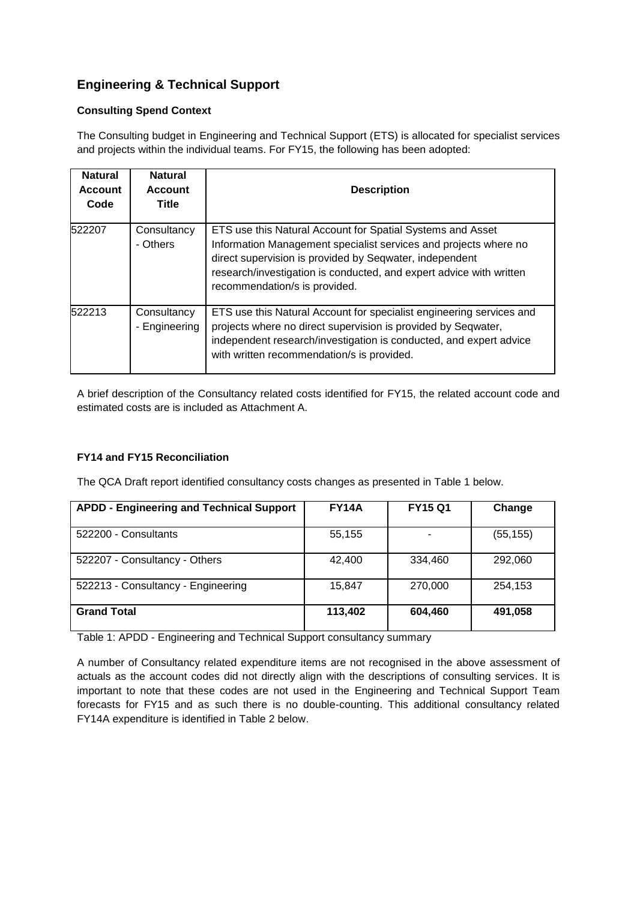# **Engineering & Technical Support**

### **Consulting Spend Context**

The Consulting budget in Engineering and Technical Support (ETS) is allocated for specialist services and projects within the individual teams. For FY15, the following has been adopted:

| <b>Natural</b><br><b>Account</b><br>Code | <b>Natural</b><br><b>Account</b><br>Title | <b>Description</b>                                                                                                                                                                                                                                                                                |
|------------------------------------------|-------------------------------------------|---------------------------------------------------------------------------------------------------------------------------------------------------------------------------------------------------------------------------------------------------------------------------------------------------|
| 522207                                   | Consultancy<br>- Others                   | ETS use this Natural Account for Spatial Systems and Asset<br>Information Management specialist services and projects where no<br>direct supervision is provided by Seqwater, independent<br>research/investigation is conducted, and expert advice with written<br>recommendation/s is provided. |
| 522213                                   | Consultancy<br>- Engineering              | ETS use this Natural Account for specialist engineering services and<br>projects where no direct supervision is provided by Seqwater,<br>independent research/investigation is conducted, and expert advice<br>with written recommendation/s is provided.                                         |

A brief description of the Consultancy related costs identified for FY15, the related account code and estimated costs are is included as Attachment A.

## **FY14 and FY15 Reconciliation**

The QCA Draft report identified consultancy costs changes as presented in Table 1 below.

| <b>APDD - Engineering and Technical Support</b> | <b>FY14A</b> | <b>FY15 Q1</b> | Change    |
|-------------------------------------------------|--------------|----------------|-----------|
| 522200 - Consultants                            | 55,155       |                | (55, 155) |
| 522207 - Consultancy - Others                   | 42.400       | 334,460        | 292,060   |
| 522213 - Consultancy - Engineering              | 15,847       | 270,000        | 254.153   |
| <b>Grand Total</b>                              | 113,402      | 604,460        | 491,058   |

Table 1: APDD - Engineering and Technical Support consultancy summary

A number of Consultancy related expenditure items are not recognised in the above assessment of actuals as the account codes did not directly align with the descriptions of consulting services. It is important to note that these codes are not used in the Engineering and Technical Support Team forecasts for FY15 and as such there is no double-counting. This additional consultancy related FY14A expenditure is identified in Table 2 below.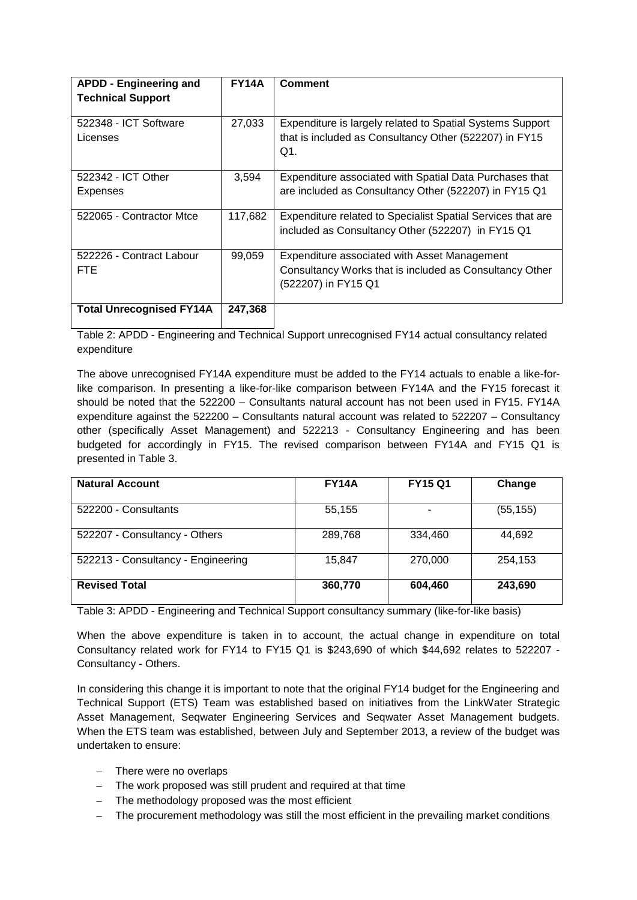| <b>APDD - Engineering and</b><br><b>Technical Support</b> | <b>FY14A</b> | <b>Comment</b>                                                                                                                 |
|-----------------------------------------------------------|--------------|--------------------------------------------------------------------------------------------------------------------------------|
| 522348 - ICT Software<br>Licenses                         | 27,033       | Expenditure is largely related to Spatial Systems Support<br>that is included as Consultancy Other (522207) in FY15<br>Q1.     |
| 522342 - ICT Other<br>Expenses                            | 3,594        | Expenditure associated with Spatial Data Purchases that<br>are included as Consultancy Other (522207) in FY15 Q1               |
| 522065 - Contractor Mtce                                  | 117,682      | Expenditure related to Specialist Spatial Services that are<br>included as Consultancy Other (522207) in FY15 Q1               |
| 522226 - Contract Labour<br>FTE.                          | 99,059       | Expenditure associated with Asset Management<br>Consultancy Works that is included as Consultancy Other<br>(522207) in FY15 Q1 |
| <b>Total Unrecognised FY14A</b>                           | 247,368      |                                                                                                                                |

Table 2: APDD - Engineering and Technical Support unrecognised FY14 actual consultancy related expenditure

The above unrecognised FY14A expenditure must be added to the FY14 actuals to enable a like-forlike comparison. In presenting a like-for-like comparison between FY14A and the FY15 forecast it should be noted that the 522200 – Consultants natural account has not been used in FY15. FY14A expenditure against the 522200 – Consultants natural account was related to 522207 – Consultancy other (specifically Asset Management) and 522213 - Consultancy Engineering and has been budgeted for accordingly in FY15. The revised comparison between FY14A and FY15 Q1 is presented in Table 3.

| <b>Natural Account</b>             | <b>FY14A</b> | <b>FY15 Q1</b> | Change    |
|------------------------------------|--------------|----------------|-----------|
| 522200 - Consultants               | 55,155       |                | (55, 155) |
| 522207 - Consultancy - Others      | 289,768      | 334,460        | 44,692    |
| 522213 - Consultancy - Engineering | 15.847       | 270,000        | 254,153   |
| <b>Revised Total</b>               | 360,770      | 604,460        | 243,690   |

Table 3: APDD - Engineering and Technical Support consultancy summary (like-for-like basis)

When the above expenditure is taken in to account, the actual change in expenditure on total Consultancy related work for FY14 to FY15 Q1 is \$243,690 of which \$44,692 relates to 522207 - Consultancy - Others.

In considering this change it is important to note that the original FY14 budget for the Engineering and Technical Support (ETS) Team was established based on initiatives from the LinkWater Strategic Asset Management, Seqwater Engineering Services and Seqwater Asset Management budgets. When the ETS team was established, between July and September 2013, a review of the budget was undertaken to ensure:

- There were no overlaps
- The work proposed was still prudent and required at that time
- The methodology proposed was the most efficient
- The procurement methodology was still the most efficient in the prevailing market conditions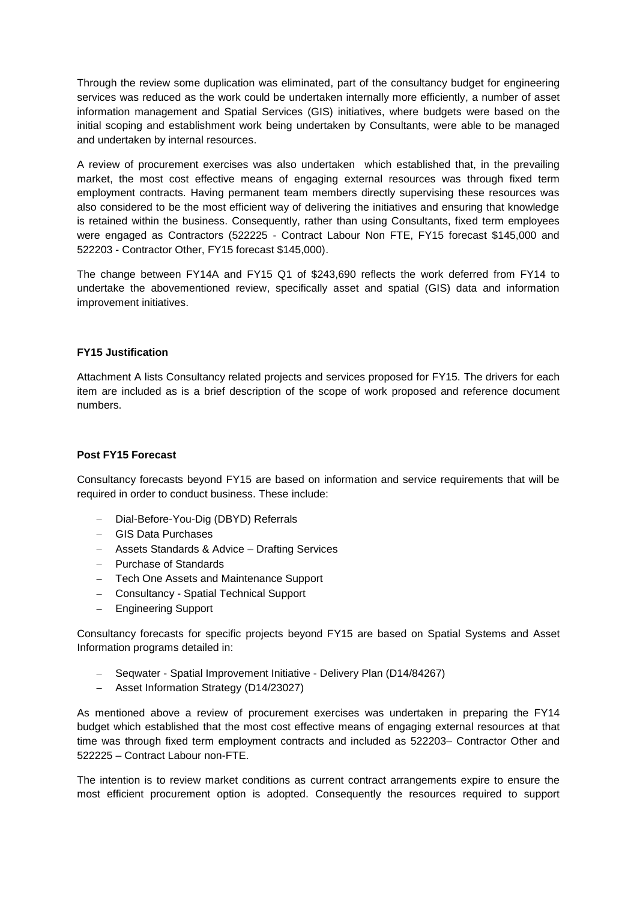Through the review some duplication was eliminated, part of the consultancy budget for engineering services was reduced as the work could be undertaken internally more efficiently, a number of asset information management and Spatial Services (GIS) initiatives, where budgets were based on the initial scoping and establishment work being undertaken by Consultants, were able to be managed and undertaken by internal resources.

A review of procurement exercises was also undertaken which established that, in the prevailing market, the most cost effective means of engaging external resources was through fixed term employment contracts. Having permanent team members directly supervising these resources was also considered to be the most efficient way of delivering the initiatives and ensuring that knowledge is retained within the business. Consequently, rather than using Consultants, fixed term employees were engaged as Contractors (522225 - Contract Labour Non FTE, FY15 forecast \$145,000 and 522203 - Contractor Other, FY15 forecast \$145,000).

The change between FY14A and FY15 Q1 of \$243,690 reflects the work deferred from FY14 to undertake the abovementioned review, specifically asset and spatial (GIS) data and information improvement initiatives.

#### **FY15 Justification**

Attachment A lists Consultancy related projects and services proposed for FY15. The drivers for each item are included as is a brief description of the scope of work proposed and reference document numbers.

#### **Post FY15 Forecast**

Consultancy forecasts beyond FY15 are based on information and service requirements that will be required in order to conduct business. These include:

- Dial-Before-You-Dig (DBYD) Referrals
- GIS Data Purchases
- Assets Standards & Advice Drafting Services
- Purchase of Standards
- Tech One Assets and Maintenance Support
- Consultancy Spatial Technical Support
- Engineering Support

Consultancy forecasts for specific projects beyond FY15 are based on Spatial Systems and Asset Information programs detailed in:

- Seqwater Spatial Improvement Initiative Delivery Plan (D14/84267)
- Asset Information Strategy (D14/23027)

As mentioned above a review of procurement exercises was undertaken in preparing the FY14 budget which established that the most cost effective means of engaging external resources at that time was through fixed term employment contracts and included as 522203– Contractor Other and 522225 – Contract Labour non-FTE.

The intention is to review market conditions as current contract arrangements expire to ensure the most efficient procurement option is adopted. Consequently the resources required to support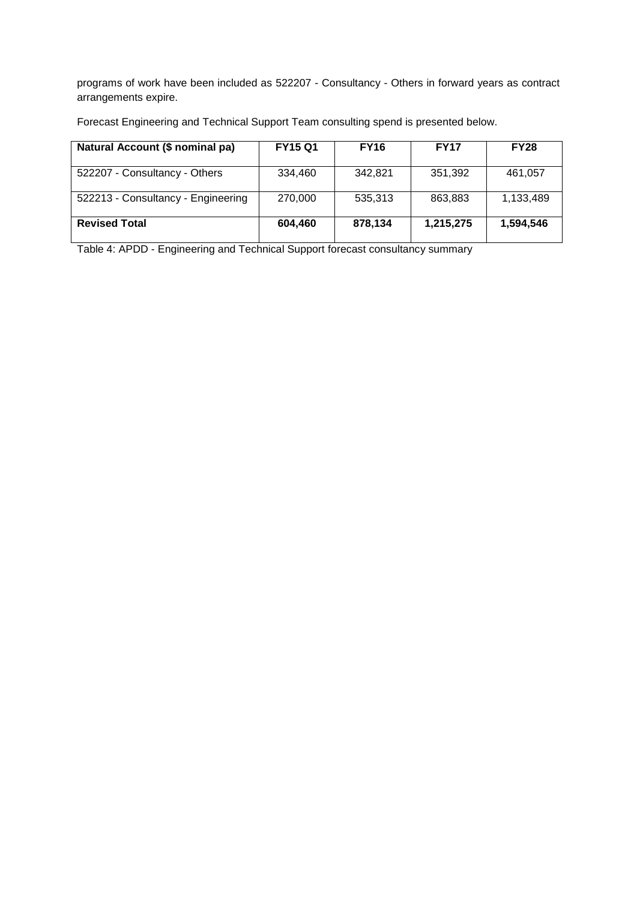programs of work have been included as 522207 - Consultancy - Others in forward years as contract arrangements expire.

Forecast Engineering and Technical Support Team consulting spend is presented below.

| Natural Account (\$ nominal pa)    | <b>FY15 Q1</b> | <b>FY16</b> | <b>FY17</b> | <b>FY28</b> |
|------------------------------------|----------------|-------------|-------------|-------------|
| 522207 - Consultancy - Others      | 334,460        | 342,821     | 351,392     | 461,057     |
| 522213 - Consultancy - Engineering | 270,000        | 535,313     | 863,883     | 1,133,489   |
| <b>Revised Total</b>               | 604,460        | 878,134     | 1,215,275   | 1,594,546   |

Table 4: APDD - Engineering and Technical Support forecast consultancy summary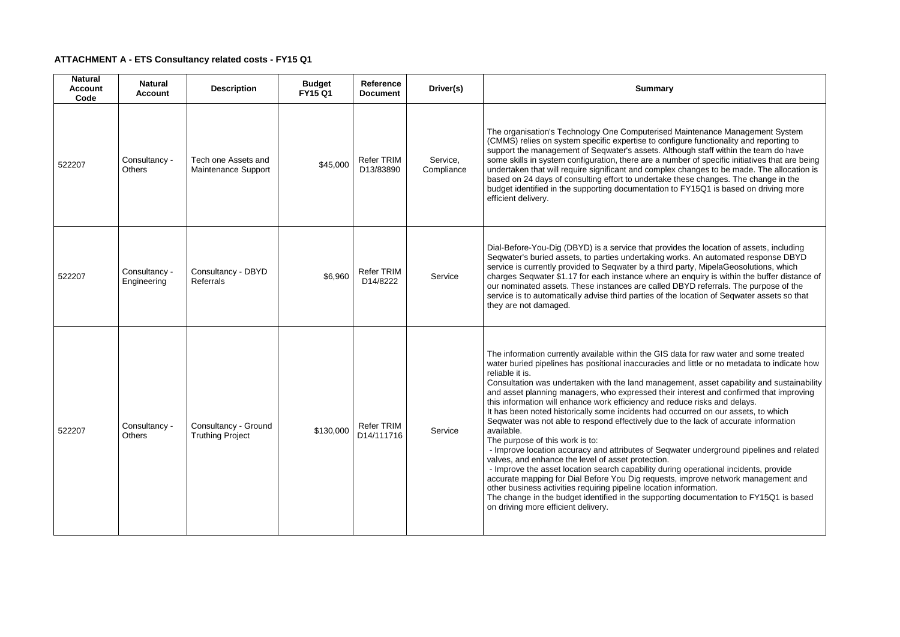# **ATTACHMENT A - ETS Consultancy related costs - FY15 Q1**

| <b>Natural</b><br><b>Account</b><br>Code | <b>Natural</b><br><b>Account</b> | <b>Description</b>                              | <b>Budget</b><br><b>FY15 Q1</b> | <b>Reference</b><br><b>Document</b> | Driver(s)              | <b>Summary</b>                                                                                                                                                                                                                                                                                                                                                                                                                                                                                                                                                                                                                                                                                                                                                                                                                                               |
|------------------------------------------|----------------------------------|-------------------------------------------------|---------------------------------|-------------------------------------|------------------------|--------------------------------------------------------------------------------------------------------------------------------------------------------------------------------------------------------------------------------------------------------------------------------------------------------------------------------------------------------------------------------------------------------------------------------------------------------------------------------------------------------------------------------------------------------------------------------------------------------------------------------------------------------------------------------------------------------------------------------------------------------------------------------------------------------------------------------------------------------------|
| 522207                                   | Consultancy -<br><b>Others</b>   | Tech one Assets and<br>Maintenance Support      | \$45,000                        | <b>Refer TRIM</b><br>D13/83890      | Service,<br>Compliance | The organisation's Technology One Computerised N<br>(CMMS) relies on system specific expertise to config<br>support the management of Seqwater's assets. Althe<br>some skills in system configuration, there are a num<br>undertaken that will require significant and complex<br>based on 24 days of consulting effort to undertake th<br>budget identified in the supporting documentation to<br>efficient delivery.                                                                                                                                                                                                                                                                                                                                                                                                                                       |
| 522207                                   | Consultancy -<br>Engineering     | Consultancy - DBYD<br>Referrals                 | \$6,960                         | <b>Refer TRIM</b><br>D14/8222       | Service                | Dial-Before-You-Dig (DBYD) is a service that provide<br>Seqwater's buried assets, to parties undertaking wor<br>service is currently provided to Seqwater by a third p<br>charges Seqwater \$1.17 for each instance where an<br>our nominated assets. These instances are called D<br>service is to automatically advise third parties of the<br>they are not damaged.                                                                                                                                                                                                                                                                                                                                                                                                                                                                                       |
| 522207                                   | Consultancy -<br><b>Others</b>   | Consultancy - Ground<br><b>Truthing Project</b> | \$130,000                       | Refer TRIM<br>D14/111716            | Service                | The information currently available within the GIS da<br>water buried pipelines has positional inaccuracies are<br>reliable it is.<br>Consultation was undertaken with the land manager<br>and asset planning managers, who expressed their<br>this information will enhance work efficiency and red<br>It has been noted historically some incidents had oc<br>Seqwater was not able to respond effectively due to<br>available.<br>The purpose of this work is to:<br>- Improve location accuracy and attributes of Seqwa<br>valves, and enhance the level of asset protection.<br>- Improve the asset location search capability during<br>accurate mapping for Dial Before You Dig requests,<br>other business activities requiring pipeline location in<br>The change in the budget identified in the supporting<br>on driving more efficient delivery. |

Maintenance Management System gure functionality and reporting to  $\frac{3}{5}$ ough staff within the team do have hber of specific initiatives that are being changes to be made. The allocation is hese changes. The change in the budget into shange in the supportion of FY15Q1 is based on driving more

les the location of assets, including rks. An automated response DBYD party, MipelaGeosolutions, which <sub>1</sub> enquiry is within the buffer distance of  $\overline{O}$  nominate  $\overline{O}$  referrals. The purpose of the location of Seqwater assets so that

ata for raw water and some treated nd little or no metadata to indicate how

ment, asset capability and sustainability interest and confirmed that improving this information will enhance risks and delays.

Frace create area belonger<br>courred on our assets, to which the lack of accurate information

ater underground pipelines and related

g operational incidents, provide improve network management and nformation. g documentation to FY15Q1 is based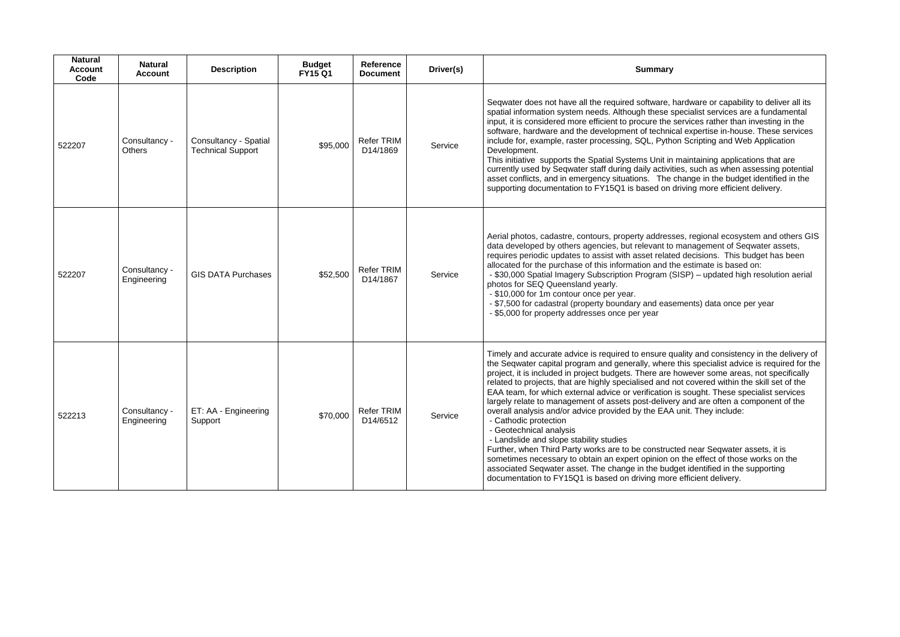| <b>Natural</b><br><b>Account</b><br>Code | <b>Natural</b><br><b>Account</b> | <b>Description</b>                                | <b>Budget</b><br><b>FY15 Q1</b> | <b>Reference</b><br><b>Document</b> | Driver(s) | <b>Summary</b>                                                                                                                                                                                                                                                                                                                                                                                                                                                                                                                                                                                                                                                                                                                                                                                                                                                                                                                                                                                                                                                                           |
|------------------------------------------|----------------------------------|---------------------------------------------------|---------------------------------|-------------------------------------|-----------|------------------------------------------------------------------------------------------------------------------------------------------------------------------------------------------------------------------------------------------------------------------------------------------------------------------------------------------------------------------------------------------------------------------------------------------------------------------------------------------------------------------------------------------------------------------------------------------------------------------------------------------------------------------------------------------------------------------------------------------------------------------------------------------------------------------------------------------------------------------------------------------------------------------------------------------------------------------------------------------------------------------------------------------------------------------------------------------|
| 522207                                   | Consultancy -<br><b>Others</b>   | Consultancy - Spatial<br><b>Technical Support</b> | \$95,000                        | <b>Refer TRIM</b><br>D14/1869       | Service   | Seqwater does not have all the required software, hardware or capability to deliver all its<br>spatial information system needs. Although these specialist services are a fundamental<br>input, it is considered more efficient to procure the services rather than investing in the<br>software, hardware and the development of technical expertise in-house. These service<br>include for, example, raster processing, SQL, Python Scripting and Web Application<br>Development.<br>This initiative supports the Spatial Systems Unit in maintaining applications that are<br>currently used by Seqwater staff during daily activities, such as when assessing potentia<br>asset conflicts, and in emergency situations. The change in the budget identified in the<br>supporting documentation to FY15Q1 is based on driving more efficient delivery.                                                                                                                                                                                                                                |
| 522207                                   | Consultancy -<br>Engineering     | <b>GIS DATA Purchases</b>                         | \$52,500                        | <b>Refer TRIM</b><br>D14/1867       | Service   | Aerial photos, cadastre, contours, property addresses, regional ecosystem and others G<br>data developed by others agencies, but relevant to management of Seqwater assets,<br>requires periodic updates to assist with asset related decisions. This budget has been<br>allocated for the purchase of this information and the estimate is based on:<br>- \$30,000 Spatial Imagery Subscription Program (SISP) - updated high resolution aeria<br>photos for SEQ Queensland yearly.<br>- \$10,000 for 1m contour once per year.<br>- \$7,500 for cadastral (property boundary and easements) data once per year<br>- \$5,000 for property addresses once per year                                                                                                                                                                                                                                                                                                                                                                                                                       |
| 522213                                   | Consultancy -<br>Engineering     | ET: AA - Engineering<br>Support                   | \$70,000                        | <b>Refer TRIM</b><br>D14/6512       | Service   | Timely and accurate advice is required to ensure quality and consistency in the delivery<br>the Seqwater capital program and generally, where this specialist advice is required for<br>project, it is included in project budgets. There are however some areas, not specifically<br>related to projects, that are highly specialised and not covered within the skill set of the<br>EAA team, for which external advice or verification is sought. These specialist services<br>largely relate to management of assets post-delivery and are often a component of the<br>overall analysis and/or advice provided by the EAA unit. They include:<br>- Cathodic protection<br>- Geotechnical analysis<br>- Landslide and slope stability studies<br>Further, when Third Party works are to be constructed near Seqwater assets, it is<br>sometimes necessary to obtain an expert opinion on the effect of those works on the<br>associated Seqwater asset. The change in the budget identified in the supporting<br>documentation to FY15Q1 is based on driving more efficient delivery. |

ardware or capability to deliver all its al expertise in-house. These services in Scripting and Web Application

maintaining applications that are es, such as when assessing potential hange in the budget identified in the support the trager or FITHTLE

es, regional ecosystem and others GIS data develops and the survey of the management of Seqwater assets, d decisions. This budget has been e estimate is based on:  $SISP$ ) – updated high resolution aerial

ality and consistency in the delivery of the Second program and generally where the general program and generally set nowever some areas, not specifically ot covered within the skill set of the *o*<br>unit. They include: